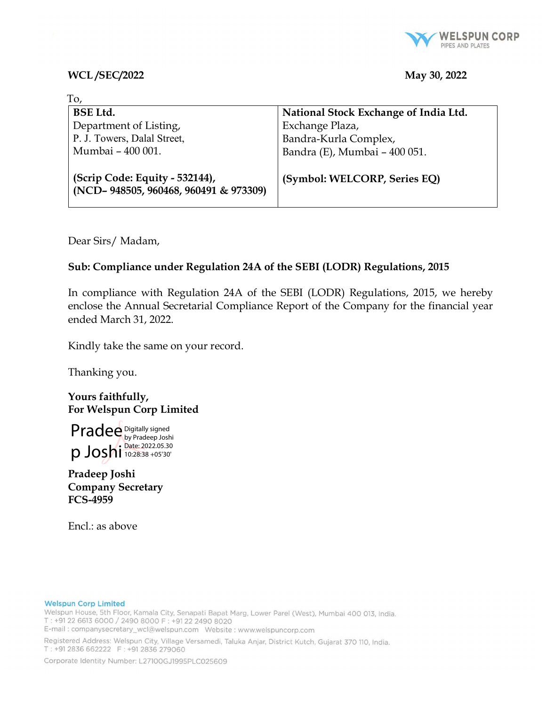

## WCL/SEC/2022 May 30, 2022

| Tо,                                                                     |                                       |
|-------------------------------------------------------------------------|---------------------------------------|
| <b>BSE Ltd.</b>                                                         | National Stock Exchange of India Ltd. |
| Department of Listing,                                                  | Exchange Plaza,                       |
| P. J. Towers, Dalal Street,                                             | Bandra-Kurla Complex,                 |
| Mumbai - 400 001.                                                       | Bandra (E), Mumbai - 400 051.         |
| (Scrip Code: Equity - 532144),<br>(NCD-948505, 960468, 960491 & 973309) | (Symbol: WELCORP, Series EQ)          |

Dear Sirs/ Madam,

# Sub: Compliance under Regulation 24A of the SEBI (LODR) Regulations, 2015

In compliance with Regulation 24A of the SEBI (LODR) Regulations, 2015, we hereby enclose the Annual Secretarial Compliance Report of the Company for the financial year ended March 31, 2022.

Kindly take the same on your record.

Thanking you.

Yours faithfully, For Welspun Corp Limited

Pradee Digitally signed p Joshi 10:28:38 +05'30' by Pradeep Joshi Date: 2022.05.30

Pradeep Joshi Company Secretary FCS-4959

Encl.: as above

### **Welspun Corp Limited**

Welspun House, 5th Floor, Kamala City, Senapati Bapat Marg, Lower Parel (West), Mumbai 400 013, India. T: +91 22 6613 6000 / 2490 8000 F: +91 22 2490 8020

E-mail: companysecretary\_wcl@welspun.com Website: www.welspuncorp.com

Registered Address: Welspun City, Village Versamedi, Taluka Anjar, District Kutch, Gujarat 370 110, India. T: +91 2836 662222 F: +91 2836 279060

Corporate Identity Number: L27100GJ1995PLC025609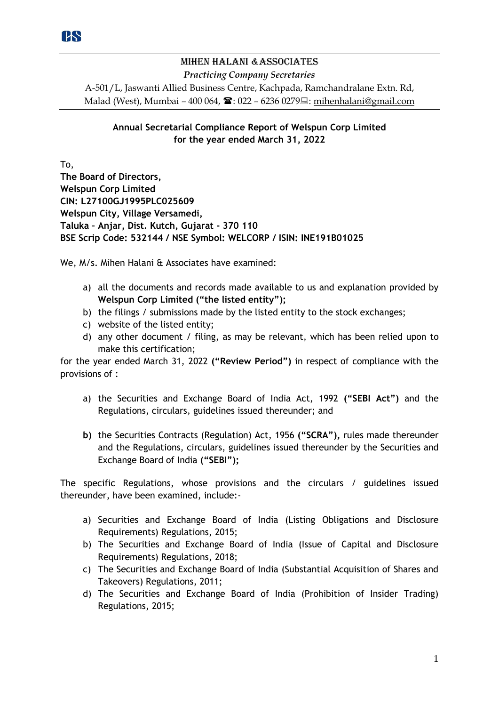# Mihen Halani &Associates *Practicing Company Secretaries* A-501/L, Jaswanti Allied Business Centre, Kachpada, Ramchandralane Extn. Rd, Malad (West), Mumbai – 400 064,  $\mathbf{\hat{m}}$ : 022 – 6236 0279 $\equiv$ : mihenhalani@gmail.com

# **Annual Secretarial Compliance Report of Welspun Corp Limited for the year ended March 31, 2022**

To, **The Board of Directors, Welspun Corp Limited CIN: L27100GJ1995PLC025609 Welspun City, Village Versamedi, Taluka – Anjar, Dist. Kutch, Gujarat - 370 110 BSE Scrip Code: 532144 / NSE Symbol: WELCORP / ISIN: INE191B01025**

We, M/s. Mihen Halani & Associates have examined:

- a) all the documents and records made available to us and explanation provided by **Welspun Corp Limited ("the listed entity");**
- b) the filings / submissions made by the listed entity to the stock exchanges;
- c) website of the listed entity;
- d) any other document / filing, as may be relevant, which has been relied upon to make this certification;

for the year ended March 31, 2022 **("Review Period")** in respect of compliance with the provisions of :

- a) the Securities and Exchange Board of India Act, 1992 **("SEBI Act")** and the Regulations, circulars, guidelines issued thereunder; and
- **b)** the Securities Contracts (Regulation) Act, 1956 **("SCRA"),** rules made thereunder and the Regulations, circulars, guidelines issued thereunder by the Securities and Exchange Board of India **("SEBI");**

The specific Regulations, whose provisions and the circulars / guidelines issued thereunder, have been examined, include:-

- a) Securities and Exchange Board of India (Listing Obligations and Disclosure Requirements) Regulations, 2015;
- b) The Securities and Exchange Board of India (Issue of Capital and Disclosure Requirements) Regulations, 2018;
- c) The Securities and Exchange Board of India (Substantial Acquisition of Shares and Takeovers) Regulations, 2011;
- d) The Securities and Exchange Board of India (Prohibition of Insider Trading) Regulations, 2015;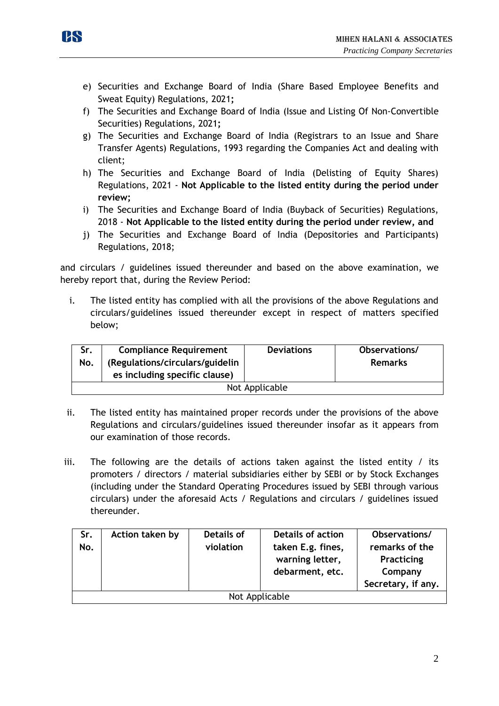

- e) Securities and Exchange Board of India (Share Based Employee Benefits and Sweat Equity) Regulations, 2021**;**
- f) The Securities and Exchange Board of India (Issue and Listing Of Non-Convertible Securities) Regulations, 2021**;**
- g) The Securities and Exchange Board of India (Registrars to an Issue and Share Transfer Agents) Regulations, 1993 regarding the Companies Act and dealing with client;
- h) The Securities and Exchange Board of India (Delisting of Equity Shares) Regulations, 2021 - **Not Applicable to the listed entity during the period under review;**
- i) The Securities and Exchange Board of India (Buyback of Securities) Regulations, 2018 - **Not Applicable to the listed entity during the period under review, and**
- j) The Securities and Exchange Board of India (Depositories and Participants) Regulations, 2018;

and circulars / guidelines issued thereunder and based on the above examination, we hereby report that, during the Review Period:

i. The listed entity has complied with all the provisions of the above Regulations and circulars/guidelines issued thereunder except in respect of matters specified below;

| Sr.            | <b>Compliance Requirement</b>   | <b>Deviations</b> | Observations/  |  |  |
|----------------|---------------------------------|-------------------|----------------|--|--|
| No.            | (Regulations/circulars/guidelin |                   | <b>Remarks</b> |  |  |
|                | es including specific clause)   |                   |                |  |  |
| Not Applicable |                                 |                   |                |  |  |

- ii. The listed entity has maintained proper records under the provisions of the above Regulations and circulars/guidelines issued thereunder insofar as it appears from our examination of those records.
- iii. The following are the details of actions taken against the listed entity / its promoters / directors / material subsidiaries either by SEBI or by Stock Exchanges (including under the Standard Operating Procedures issued by SEBI through various circulars) under the aforesaid Acts / Regulations and circulars / guidelines issued thereunder.

| Sr.<br>No.     | Action taken by | Details of<br>violation | <b>Details of action</b><br>taken E.g. fines,<br>warning letter,<br>debarment, etc. | Observations/<br>remarks of the<br>Practicing<br>Company<br>Secretary, if any. |
|----------------|-----------------|-------------------------|-------------------------------------------------------------------------------------|--------------------------------------------------------------------------------|
| Not Applicable |                 |                         |                                                                                     |                                                                                |